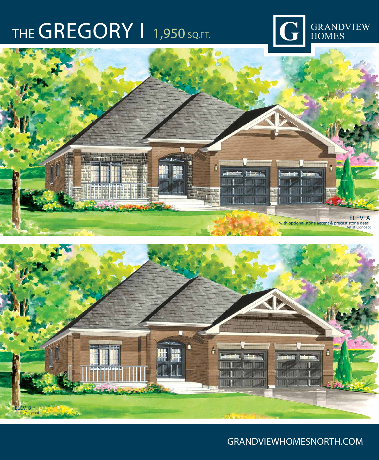## THE GREGORY | 1,950 SQ.FT.







### GRANDVIEWHOMESNORTH.COM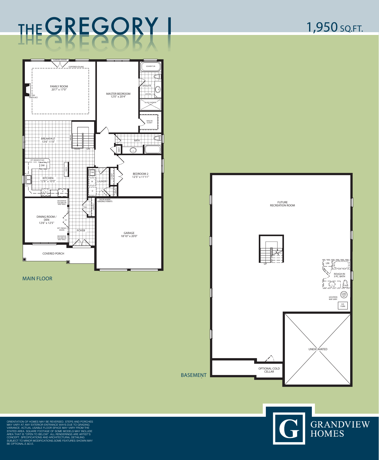ORIENTATION OF HOMES MAY BE REVERSED. STEPS AND PORCHES MAY VARY AT ANY EXTERIOR ENTRANCE WAYS DUE TO GRADING VARIANCE. ACTUAL USABLE FLOOR SPACE MAY VARY FROM THE STATED AREA. SQUARE FOOTAGE OF SOME MODELS MAY INCLUDE AREA THAT IS "OPEN TO BELOW". ALL RENDERINGS ARE ARTIST'S CONCEPT. SPECIFICATIONS AND ARCHITECTURAL DETAILING SUBJECT TO MINOR MODIFICATIONS.SOME FEATURES SHOWN MAY BE OPTIONAL.E.&O.E.







## THE GREGORY | 1,950 SQ.FT.